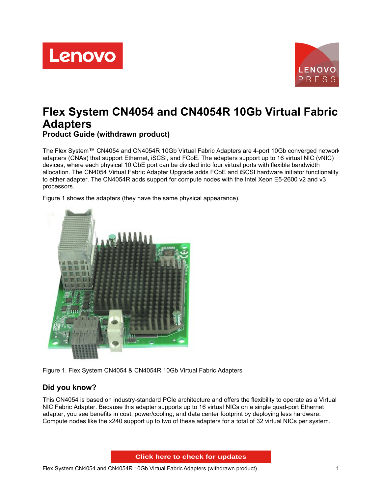



# **Flex System CN4054 and CN4054R 10Gb Virtual Fabric Adapters**

**Product Guide (withdrawn product)**

The Flex System™ CN4054 and CN4054R 10Gb Virtual Fabric Adapters are 4-port 10Gb converged network adapters (CNAs) that support Ethernet, iSCSI, and FCoE. The adapters support up to 16 virtual NIC (vNIC) devices, where each physical 10 GbE port can be divided into four virtual ports with flexible bandwidth allocation. The CN4054 Virtual Fabric Adapter Upgrade adds FCoE and iSCSI hardware initiator functionality to either adapter. The CN4054R adds support for compute nodes with the Intel Xeon E5-2600 v2 and v3 processors.

Figure 1 shows the adapters (they have the same physical appearance).



Figure 1. Flex System CN4054 & CN4054R 10Gb Virtual Fabric Adapters

# **Did you know?**

This CN4054 is based on industry-standard PCIe architecture and offers the flexibility to operate as a Virtual NIC Fabric Adapter. Because this adapter supports up to 16 virtual NICs on a single quad-port Ethernet adapter, you see benefits in cost, power/cooling, and data center footprint by deploying less hardware. Compute nodes like the x240 support up to two of these adapters for a total of 32 virtual NICs per system.

**Click here to check for updates**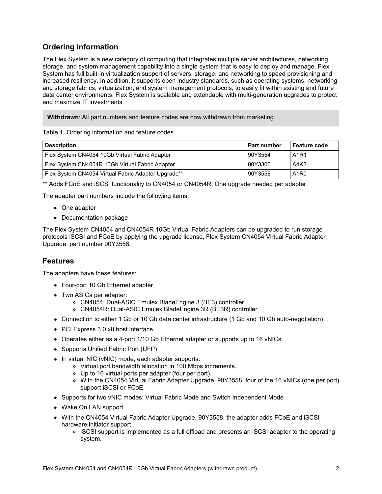# **Ordering information**

The Flex System is a new category of computing that integrates multiple server architectures, networking, storage, and system management capability into a single system that is easy to deploy and manage. Flex System has full built-in virtualization support of servers, storage, and networking to speed provisioning and increased resiliency. In addition, it supports open industry standards, such as operating systems, networking and storage fabrics, virtualization, and system management protocols, to easily fit within existing and future data center environments. Flex System is scalable and extendable with multi-generation upgrades to protect and maximize IT investments.

**Withdrawn**: All part numbers and feature codes are now withdrawn from marketing.

#### Table 1. Ordering information and feature codes

| <b>Description</b>                                  | I Part number | <b>Feature code</b>           |
|-----------------------------------------------------|---------------|-------------------------------|
| Flex System CN4054 10Gb Virtual Fabric Adapter      | 90Y3554       | A <sub>1</sub> R <sub>1</sub> |
| Flex System CN4054R 10Gb Virtual Fabric Adapter     | 00Y3306       | A4K <sub>2</sub>              |
| Flex System CN4054 Virtual Fabric Adapter Upgrade** | 90Y3558       | A <sub>1</sub> R <sub>0</sub> |

\*\* Adds FCoE and iSCSI functionality to CN4054 or CN4054R; One upgrade needed per adapter

The adapter part numbers include the following items:

- One adapter
- Documentation package

The Flex System CN4054 and CN4054R 10Gb Virtual Fabric Adapters can be upgraded to run storage protocols iSCSI and FCoE by applying the upgrade license, Flex System CN4054 Virtual Fabric Adapter Upgrade, part number 90Y3558.

## **Features**

The adapters have these features:

- Four-port 10 Gb Ethernet adapter
- Two ASICs per adapter:
	- CN4054: Dual-ASIC Emulex BladeEngine 3 (BE3) controller
	- CN4054R: Dual-ASIC Emulex BladeEngine 3R (BE3R) controller
- Connection to either 1 Gb or 10 Gb data center infrastructure (1 Gb and 10 Gb auto-negotiation)
- PCI Express 3.0 x8 host interface
- Operates either as a 4-port 1/10 Gb Ethernet adapter or supports up to 16 vNICs.
- Supports Unified Fabric Port (UFP)
- In virtual NIC (vNIC) mode, each adapter supports:
	- Virtual port bandwidth allocation in 100 Mbps increments.
	- Up to 16 virtual ports per adapter (four per port).
	- o With the CN4054 Virtual Fabric Adapter Upgrade, 90Y3558, four of the 16 vNICs (one per port) support iSCSI or FCoE.
- Supports for two vNIC modes: Virtual Fabric Mode and Switch Independent Mode
- Wake On LAN support.
- With the CN4054 Virtual Fabric Adapter Upgrade, 90Y3558, the adapter adds FCoE and iSCSI hardware initiator support.
	- iSCSI support is implemented as a full offload and presents an iSCSI adapter to the operating system.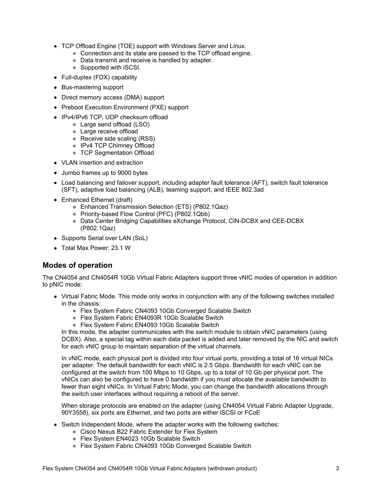- TCP Offload Engine (TOE) support with Windows Server and Linux.
	- Connection and its state are passed to the TCP offload engine.
	- Data transmit and receive is handled by adapter.
	- Supported with iSCSI.
- Full-duplex (FDX) capability
- Bus-mastering support
- Direct memory access (DMA) support
- Preboot Execution Environment (PXE) support
- IPv4/IPv6 TCP, UDP checksum offload
	- Large send offload (LSO)
	- Large receive offload
	- Receive side scaling (RSS)
	- o IPv4 TCP Chimney Offload
	- TCP Segmentation Offload
- VLAN insertion and extraction
- Jumbo frames up to 9000 bytes
- Load balancing and failover support, including adapter fault tolerance (AFT), switch fault tolerance (SFT), adaptive load balancing (ALB), teaming support, and IEEE 802.3ad
- Enhanced Ethernet (draft)
	- Enhanced Transmission Selection (ETS) (P802.1Qaz)
	- Priority-based Flow Control (PFC) (P802.1Qbb)
	- o Data Center Bridging Capabilities eXchange Protocol, CIN-DCBX and CEE-DCBX (P802.1Qaz)
- Supports Serial over LAN (SoL)
- Total Max Power: 23.1 W

## **Modes of operation**

The CN4054 and CN4054R 10Gb Virtual Fabric Adapters support three vNIC modes of operation in addition to pNIC mode:

- Virtual Fabric Mode. This mode only works in conjunction with any of the following switches installed in the chassis:
	- Flex System Fabric CN4093 10Gb Converged Scalable Switch
	- Flex System Fabric EN4093R 10Gb Scalable Switch
	- Flex System Fabric EN4093 10Gb Scalable Switch

In this mode, the adapter communicates with the switch module to obtain vNIC parameters (using DCBX). Also, a special tag within each data packet is added and later removed by the NIC and switch for each vNIC group to maintain separation of the virtual channels.

In vNIC mode, each physical port is divided into four virtual ports, providing a total of 16 virtual NICs per adapter. The default bandwidth for each vNIC is 2.5 Gbps. Bandwidth for each vNIC can be configured at the switch from 100 Mbps to 10 Gbps, up to a total of 10 Gb per physical port. The vNICs can also be configured to have 0 bandwidth if you must allocate the available bandwidth to fewer than eight vNICs. In Virtual Fabric Mode, you can change the bandwidth allocations through the switch user interfaces without requiring a reboot of the server.

When storage protocols are enabled on the adapter (using CN4054 Virtual Fabric Adapter Upgrade, 90Y3558), six ports are Ethernet, and two ports are either iSCSI or FCoE

- Switch Independent Mode, where the adapter works with the following switches:
	- Cisco Nexus B22 Fabric Extender for Flex System
	- Flex System EN4023 10Gb Scalable Switch
	- Flex System Fabric CN4093 10Gb Converged Scalable Switch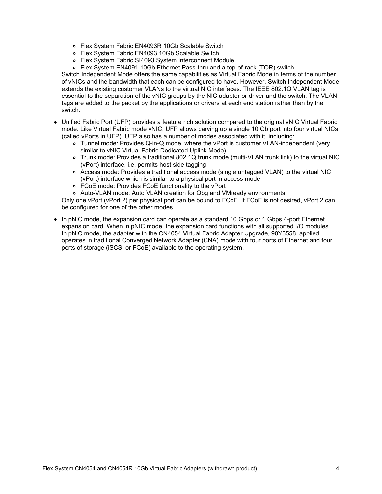- Flex System Fabric EN4093R 10Gb Scalable Switch
- Flex System Fabric EN4093 10Gb Scalable Switch
- Flex System Fabric SI4093 System Interconnect Module
- Flex System EN4091 10Gb Ethernet Pass-thru and a top-of-rack (TOR) switch

Switch Independent Mode offers the same capabilities as Virtual Fabric Mode in terms of the number of vNICs and the bandwidth that each can be configured to have. However, Switch Independent Mode extends the existing customer VLANs to the virtual NIC interfaces. The IEEE 802.1Q VLAN tag is essential to the separation of the vNIC groups by the NIC adapter or driver and the switch. The VLAN tags are added to the packet by the applications or drivers at each end station rather than by the switch.

- Unified Fabric Port (UFP) provides a feature rich solution compared to the original vNIC Virtual Fabric mode. Like Virtual Fabric mode vNIC, UFP allows carving up a single 10 Gb port into four virtual NICs (called vPorts in UFP). UFP also has a number of modes associated with it, including:
	- Tunnel mode: Provides Q-in-Q mode, where the vPort is customer VLAN-independent (very similar to vNIC Virtual Fabric Dedicated Uplink Mode)
	- Trunk mode: Provides a traditional 802.1Q trunk mode (multi-VLAN trunk link) to the virtual NIC (vPort) interface, i.e. permits host side tagging
	- Access mode: Provides a traditional access mode (single untagged VLAN) to the virtual NIC (vPort) interface which is similar to a physical port in access mode
	- FCoE mode: Provides FCoE functionality to the vPort
	- Auto-VLAN mode: Auto VLAN creation for Qbg and VMready environments

Only one vPort (vPort 2) per physical port can be bound to FCoE. If FCoE is not desired, vPort 2 can be configured for one of the other modes.

• In pNIC mode, the expansion card can operate as a standard 10 Gbps or 1 Gbps 4-port Ethernet expansion card. When in pNIC mode, the expansion card functions with all supported I/O modules. In pNIC mode, the adapter with the CN4054 Virtual Fabric Adapter Upgrade, 90Y3558, applied operates in traditional Converged Network Adapter (CNA) mode with four ports of Ethernet and four ports of storage (iSCSI or FCoE) available to the operating system.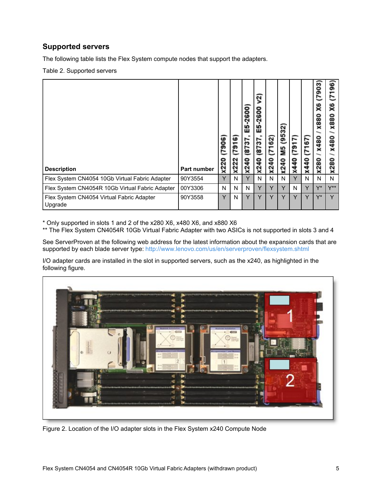## **Supported servers**

The following table lists the Flex System compute nodes that support the adapters.

Table 2. Supported servers

| <b>Description</b>                                   | <b>Part number</b> | 906<br><b>X220</b> | ဖ<br>791<br>x222 | -2600<br>띪<br>2737<br>x240 | v2)<br>$-2600$<br>떪<br>1218)<br>x240 | (7162)<br>x240 | (9532)<br>ЯM<br>М5<br>x240 | (7917)<br>x440 | 29<br>E<br>440<br>$\overline{\mathbf{x}}$ | 903<br>L<br>X6<br><b>X880</b><br>x480<br>280<br>$\overline{\mathbf{x}}$ | 96<br>↽<br>r<br>X6<br><b>X880</b><br>480<br>×<br>ន<br>$\mathbf{\tilde{z}}$<br>$\overline{\phantom{a}}$ |
|------------------------------------------------------|--------------------|--------------------|------------------|----------------------------|--------------------------------------|----------------|----------------------------|----------------|-------------------------------------------|-------------------------------------------------------------------------|--------------------------------------------------------------------------------------------------------|
| Flex System CN4054 10Gb Virtual Fabric Adapter       | 90Y3554            | Y                  | N                | Y                          | N                                    | N              | N                          | Y              | N                                         | N                                                                       | N                                                                                                      |
| Flex System CN4054R 10Gb Virtual Fabric Adapter      | 00Y3306            | N                  | N                | N                          | Y                                    | Y              | Y                          | N              | Y                                         | Y*                                                                      | $Y^{\star\star}$                                                                                       |
| Flex System CN4054 Virtual Fabric Adapter<br>Upgrade | 90Y3558            | Y                  | N                | Y                          | Y                                    | v              | Y                          | Y              | Υ                                         | $Y^*$                                                                   | Y                                                                                                      |

\* Only supported in slots 1 and 2 of the x280 X6, x480 X6, and x880 X6

\*\* The Flex System CN4054R 10Gb Virtual Fabric Adapter with two ASICs is not supported in slots 3 and 4

See ServerProven at the following web address for the latest information about the expansion cards that are supported by each blade server type: <http://www.lenovo.com/us/en/serverproven/flexsystem.shtml>

I/O adapter cards are installed in the slot in supported servers, such as the x240, as highlighted in the following figure.



Figure 2. Location of the I/O adapter slots in the Flex System x240 Compute Node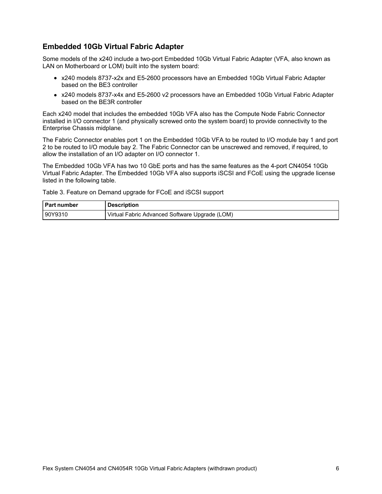## **Embedded 10Gb Virtual Fabric Adapter**

Some models of the x240 include a two-port Embedded 10Gb Virtual Fabric Adapter (VFA, also known as LAN on Motherboard or LOM) built into the system board:

- x240 models 8737-x2x and E5-2600 processors have an Embedded 10Gb Virtual Fabric Adapter based on the BE3 controller
- x240 models 8737-x4x and E5-2600 v2 processors have an Embedded 10Gb Virtual Fabric Adapter based on the BE3R controller

Each x240 model that includes the embedded 10Gb VFA also has the Compute Node Fabric Connector installed in I/O connector 1 (and physically screwed onto the system board) to provide connectivity to the Enterprise Chassis midplane.

The Fabric Connector enables port 1 on the Embedded 10Gb VFA to be routed to I/O module bay 1 and port 2 to be routed to I/O module bay 2. The Fabric Connector can be unscrewed and removed, if required, to allow the installation of an I/O adapter on I/O connector 1.

The Embedded 10Gb VFA has two 10 GbE ports and has the same features as the 4-port CN4054 10Gb Virtual Fabric Adapter. The Embedded 10Gb VFA also supports iSCSI and FCoE using the upgrade license listed in the following table.

Table 3. Feature on Demand upgrade for FCoE and iSCSI support

| I Part number | <b>Description</b>                             |
|---------------|------------------------------------------------|
| 190Y9310      | Virtual Fabric Advanced Software Upgrade (LOM) |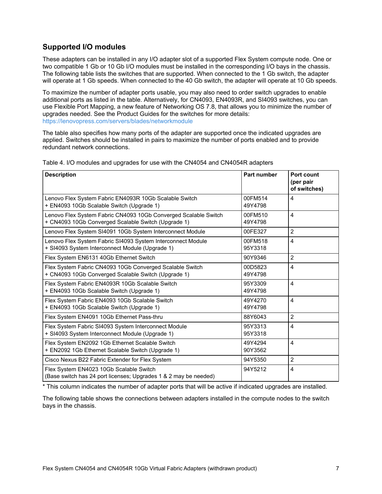## **Supported I/O modules**

These adapters can be installed in any I/O adapter slot of a supported Flex System compute node. One or two compatible 1 Gb or 10 Gb I/O modules must be installed in the corresponding I/O bays in the chassis. The following table lists the switches that are supported. When connected to the 1 Gb switch, the adapter will operate at 1 Gb speeds. When connected to the 40 Gb switch, the adapter will operate at 10 Gb speeds.

To maximize the number of adapter ports usable, you may also need to order switch upgrades to enable additional ports as listed in the table. Alternatively, for CN4093, EN4093R, and SI4093 switches, you can use Flexible Port Mapping, a new feature of Networking OS 7.8, that allows you to minimize the number of upgrades needed. See the Product Guides for the switches for more details: <https://lenovopress.com/servers/blades/networkmodule>

The table also specifies how many ports of the adapter are supported once the indicated upgrades are applied. Switches should be installed in pairs to maximize the number of ports enabled and to provide redundant network connections.

| <b>Description</b>                                                                                                     | Part number        | Port count<br>(per pair<br>of switches) |
|------------------------------------------------------------------------------------------------------------------------|--------------------|-----------------------------------------|
| Lenovo Flex System Fabric EN4093R 10Gb Scalable Switch<br>+ EN4093 10Gb Scalable Switch (Upgrade 1)                    | 00FM514<br>49Y4798 | 4                                       |
| Lenovo Flex System Fabric CN4093 10Gb Converged Scalable Switch<br>+ CN4093 10Gb Converged Scalable Switch (Upgrade 1) | 00FM510<br>49Y4798 | $\overline{4}$                          |
| Lenovo Flex System SI4091 10Gb System Interconnect Module                                                              | 00FE327            | $\overline{2}$                          |
| Lenovo Flex System Fabric SI4093 System Interconnect Module<br>+ SI4093 System Interconnect Module (Upgrade 1)         | 00FM518<br>95Y3318 | 4                                       |
| Flex System EN6131 40Gb Ethernet Switch                                                                                | 90Y9346            | $\overline{2}$                          |
| Flex System Fabric CN4093 10Gb Converged Scalable Switch<br>+ CN4093 10Gb Converged Scalable Switch (Upgrade 1)        | 00D5823<br>49Y4798 | 4                                       |
| Flex System Fabric EN4093R 10Gb Scalable Switch<br>+ EN4093 10Gb Scalable Switch (Upgrade 1)                           | 95Y3309<br>49Y4798 | 4                                       |
| Flex System Fabric EN4093 10Gb Scalable Switch<br>+ EN4093 10Gb Scalable Switch (Upgrade 1)                            | 49Y4270<br>49Y4798 | $\overline{4}$                          |
| Flex System EN4091 10Gb Ethernet Pass-thru                                                                             | 88Y6043            | $\overline{2}$                          |
| Flex System Fabric SI4093 System Interconnect Module<br>+ SI4093 System Interconnect Module (Upgrade 1)                | 95Y3313<br>95Y3318 | 4                                       |
| Flex System EN2092 1Gb Ethernet Scalable Switch<br>+ EN2092 1Gb Ethernet Scalable Switch (Upgrade 1)                   | 49Y4294<br>90Y3562 | 4                                       |
| Cisco Nexus B22 Fabric Extender for Flex System                                                                        | 94Y5350            | $\overline{2}$                          |
| Flex System EN4023 10Gb Scalable Switch<br>(Base switch has 24 port licenses; Upgrades 1 & 2 may be needed)            | 94Y5212            | 4                                       |

Table 4. I/O modules and upgrades for use with the CN4054 and CN4054R adapters

\* This column indicates the number of adapter ports that will be active if indicated upgrades are installed.

The following table shows the connections between adapters installed in the compute nodes to the switch bays in the chassis.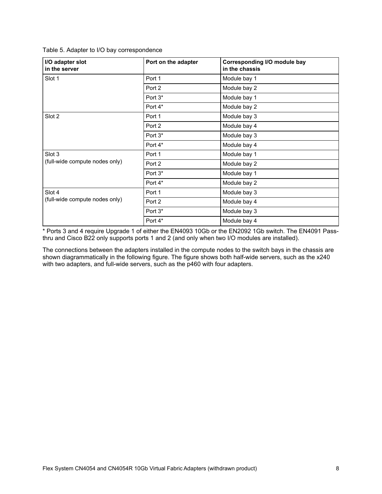Table 5. Adapter to I/O bay correspondence

| I/O adapter slot<br>in the server        | Port on the adapter | <b>Corresponding I/O module bay</b><br>in the chassis |
|------------------------------------------|---------------------|-------------------------------------------------------|
| Slot 1                                   | Port 1              | Module bay 1                                          |
|                                          | Port 2              | Module bay 2                                          |
|                                          | Port 3*             | Module bay 1                                          |
|                                          | Port 4*             | Module bay 2                                          |
| Slot 2                                   | Port 1              | Module bay 3                                          |
|                                          | Port 2              | Module bay 4                                          |
|                                          | Port 3*             | Module bay 3                                          |
|                                          | Port 4*             | Module bay 4                                          |
| Slot 3<br>(full-wide compute nodes only) | Port 1              | Module bay 1                                          |
|                                          | Port 2              | Module bay 2                                          |
|                                          | Port 3*             | Module bay 1                                          |
|                                          | Port 4*             | Module bay 2                                          |
| Slot 4                                   | Port 1              | Module bay 3                                          |
| (full-wide compute nodes only)           | Port 2              | Module bay 4                                          |
|                                          | Port 3*             | Module bay 3                                          |
|                                          | Port 4*             | Module bay 4                                          |

\* Ports 3 and 4 require Upgrade 1 of either the EN4093 10Gb or the EN2092 1Gb switch. The EN4091 Passthru and Cisco B22 only supports ports 1 and 2 (and only when two I/O modules are installed).

The connections between the adapters installed in the compute nodes to the switch bays in the chassis are shown diagrammatically in the following figure. The figure shows both half-wide servers, such as the x240 with two adapters, and full-wide servers, such as the p460 with four adapters.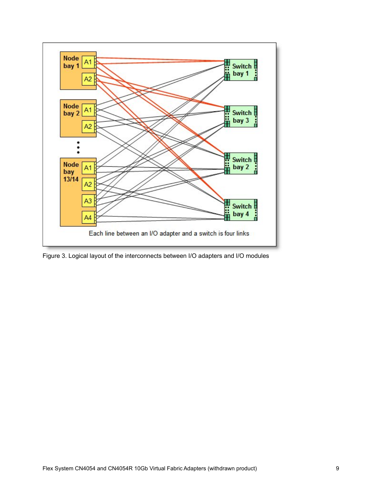

Figure 3. Logical layout of the interconnects between I/O adapters and I/O modules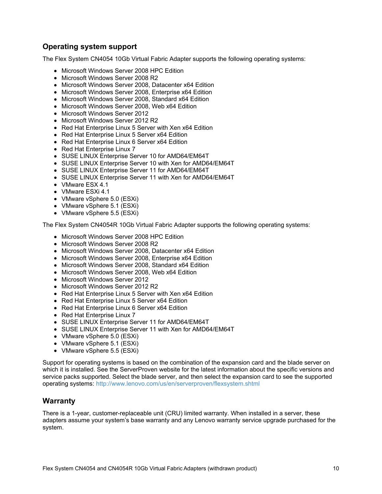## **Operating system support**

The Flex System CN4054 10Gb Virtual Fabric Adapter supports the following operating systems:

- Microsoft Windows Server 2008 HPC Edition
- Microsoft Windows Server 2008 R2
- Microsoft Windows Server 2008, Datacenter x64 Edition
- Microsoft Windows Server 2008, Enterprise x64 Edition
- Microsoft Windows Server 2008, Standard x64 Edition
- Microsoft Windows Server 2008, Web x64 Edition
- Microsoft Windows Server 2012
- Microsoft Windows Server 2012 R2
- Red Hat Enterprise Linux 5 Server with Xen x64 Edition
- Red Hat Enterprise Linux 5 Server x64 Edition
- Red Hat Enterprise Linux 6 Server x64 Edition
- Red Hat Enterprise Linux 7
- SUSE LINUX Enterprise Server 10 for AMD64/EM64T
- SUSE LINUX Enterprise Server 10 with Xen for AMD64/EM64T
- SUSE LINUX Enterprise Server 11 for AMD64/EM64T
- SUSE LINUX Enterprise Server 11 with Xen for AMD64/EM64T
- VMware ESX 4.1
- VMware ESXi 4.1
- VMware vSphere 5.0 (ESXi)
- VMware vSphere 5.1 (ESXi)
- VMware vSphere 5.5 (ESXi)

The Flex System CN4054R 10Gb Virtual Fabric Adapter supports the following operating systems:

- Microsoft Windows Server 2008 HPC Edition
- Microsoft Windows Server 2008 R2
- Microsoft Windows Server 2008, Datacenter x64 Edition
- Microsoft Windows Server 2008, Enterprise x64 Edition
- Microsoft Windows Server 2008, Standard x64 Edition
- Microsoft Windows Server 2008, Web x64 Edition
- Microsoft Windows Server 2012
- Microsoft Windows Server 2012 R2
- Red Hat Enterprise Linux 5 Server with Xen x64 Edition
- Red Hat Enterprise Linux 5 Server x64 Edition
- Red Hat Enterprise Linux 6 Server x64 Edition
- Red Hat Enterprise Linux 7
- SUSE LINUX Enterprise Server 11 for AMD64/EM64T
- SUSE LINUX Enterprise Server 11 with Xen for AMD64/EM64T
- VMware vSphere 5.0 (ESXi)
- VMware vSphere 5.1 (ESXi)
- VMware vSphere 5.5 (ESXi)

Support for operating systems is based on the combination of the expansion card and the blade server on which it is installed. See the ServerProven website for the latest information about the specific versions and service packs supported. Select the blade server, and then select the expansion card to see the supported operating systems: <http://www.lenovo.com/us/en/serverproven/flexsystem.shtml>

#### **Warranty**

There is a 1-year, customer-replaceable unit (CRU) limited warranty. When installed in a server, these adapters assume your system's base warranty and any Lenovo warranty service upgrade purchased for the system.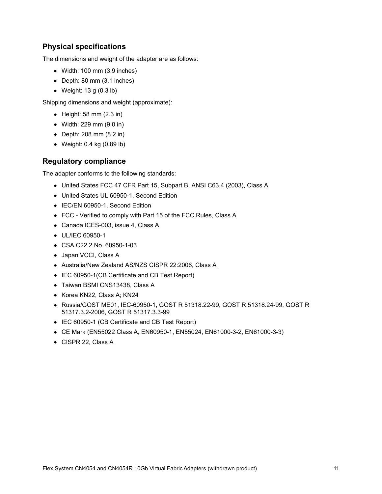## **Physical specifications**

The dimensions and weight of the adapter are as follows:

- Width: 100 mm (3.9 inches)
- Depth: 80 mm (3.1 inches)
- Weight: 13 g (0.3 lb)

Shipping dimensions and weight (approximate):

- $\bullet$  Height: 58 mm (2.3 in)
- Width: 229 mm (9.0 in)
- Depth: 208 mm (8.2 in)
- Weight: 0.4 kg (0.89 lb)

## **Regulatory compliance**

The adapter conforms to the following standards:

- United States FCC 47 CFR Part 15, Subpart B, ANSI C63.4 (2003), Class A
- United States UL 60950-1, Second Edition
- IEC/EN 60950-1, Second Edition
- FCC Verified to comply with Part 15 of the FCC Rules, Class A
- Canada ICES-003, issue 4, Class A
- UL/IEC 60950-1
- CSA C22.2 No. 60950-1-03
- Japan VCCI, Class A
- Australia/New Zealand AS/NZS CISPR 22:2006, Class A
- IEC 60950-1(CB Certificate and CB Test Report)
- Taiwan BSMI CNS13438, Class A
- Korea KN22, Class A; KN24
- Russia/GOST ME01, IEC-60950-1, GOST R 51318.22-99, GOST R 51318.24-99, GOST R 51317.3.2-2006, GOST R 51317.3.3-99
- IEC 60950-1 (CB Certificate and CB Test Report)
- CE Mark (EN55022 Class A, EN60950-1, EN55024, EN61000-3-2, EN61000-3-3)
- CISPR 22, Class A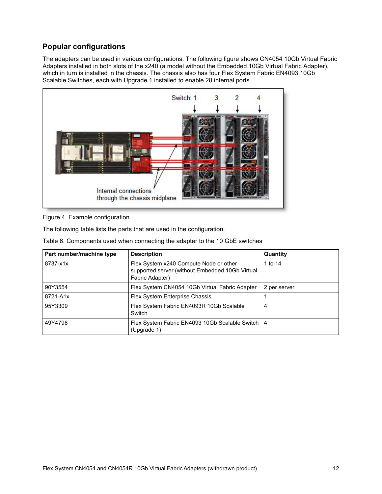# **Popular configurations**

The adapters can be used in various configurations. The following figure shows CN4054 10Gb Virtual Fabric Adapters installed in both slots of the x240 (a model without the Embedded 10Gb Virtual Fabric Adapter), which in turn is installed in the chassis. The chassis also has four Flex System Fabric EN4093 10Gb Scalable Switches, each with Upgrade 1 installed to enable 28 internal ports.



Figure 4. Example configuration

The following table lists the parts that are used in the configuration.

Table 6. Components used when connecting the adapter to the 10 GbE switches

| Part number/machine type | <b>Description</b>                                                                                           | Quantity     |
|--------------------------|--------------------------------------------------------------------------------------------------------------|--------------|
| 8737-x1x                 | Flex System x240 Compute Node or other<br>supported server (without Embedded 10Gb Virtual<br>Fabric Adapter) | 1 to 14      |
| 90Y3554                  | Flex System CN4054 10Gb Virtual Fabric Adapter                                                               | 2 per server |
| 8721-A1x                 | Flex System Enterprise Chassis                                                                               |              |
| 95Y3309                  | Flex System Fabric EN4093R 10Gb Scalable<br>Switch                                                           | 4            |
| 49Y4798                  | Flex System Fabric EN4093 10Gb Scalable Switch   4<br>(Upgrade 1)                                            |              |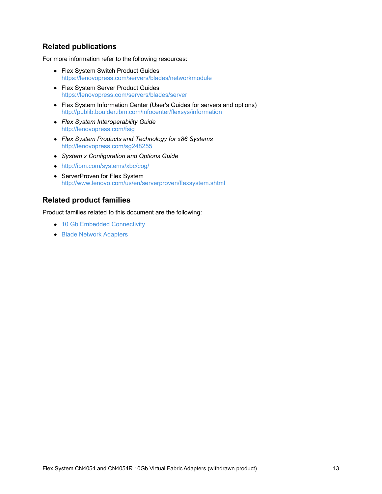## **Related publications**

For more information refer to the following resources:

- Flex System Switch Product Guides <https://lenovopress.com/servers/blades/networkmodule>
- Flex System Server Product Guides <https://lenovopress.com/servers/blades/server>
- Flex System Information Center (User's Guides for servers and options) <http://publib.boulder.ibm.com/infocenter/flexsys/information>
- *Flex System Interoperability Guide* <http://lenovopress.com/fsig>
- *Flex System Products and Technology for x86 Systems* <http://lenovopress.com/sg248255>
- *System x Configuration and Options Guide*
- <http://ibm.com/systems/xbc/cog/>
- ServerProven for Flex System <http://www.lenovo.com/us/en/serverproven/flexsystem.shtml>

### **Related product families**

Product families related to this document are the following:

- 10 Gb Embedded [Connectivity](https://lenovopress.com/networking/embedded/10gb)
- **Blade Network [Adapters](https://lenovopress.com/servers/blades/nic)**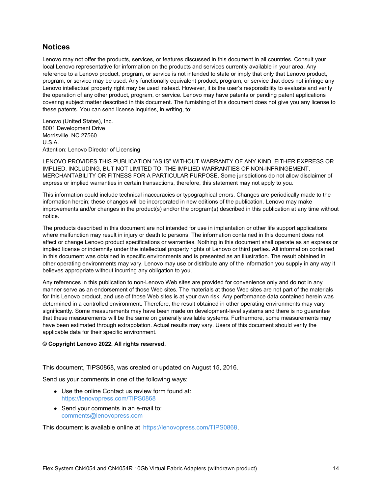#### **Notices**

Lenovo may not offer the products, services, or features discussed in this document in all countries. Consult your local Lenovo representative for information on the products and services currently available in your area. Any reference to a Lenovo product, program, or service is not intended to state or imply that only that Lenovo product, program, or service may be used. Any functionally equivalent product, program, or service that does not infringe any Lenovo intellectual property right may be used instead. However, it is the user's responsibility to evaluate and verify the operation of any other product, program, or service. Lenovo may have patents or pending patent applications covering subject matter described in this document. The furnishing of this document does not give you any license to these patents. You can send license inquiries, in writing, to:

Lenovo (United States), Inc. 8001 Development Drive Morrisville, NC 27560 U.S.A. Attention: Lenovo Director of Licensing

LENOVO PROVIDES THIS PUBLICATION "AS IS" WITHOUT WARRANTY OF ANY KIND, EITHER EXPRESS OR IMPLIED, INCLUDING, BUT NOT LIMITED TO, THE IMPLIED WARRANTIES OF NON-INFRINGEMENT, MERCHANTABILITY OR FITNESS FOR A PARTICULAR PURPOSE. Some jurisdictions do not allow disclaimer of express or implied warranties in certain transactions, therefore, this statement may not apply to you.

This information could include technical inaccuracies or typographical errors. Changes are periodically made to the information herein; these changes will be incorporated in new editions of the publication. Lenovo may make improvements and/or changes in the product(s) and/or the program(s) described in this publication at any time without notice.

The products described in this document are not intended for use in implantation or other life support applications where malfunction may result in injury or death to persons. The information contained in this document does not affect or change Lenovo product specifications or warranties. Nothing in this document shall operate as an express or implied license or indemnity under the intellectual property rights of Lenovo or third parties. All information contained in this document was obtained in specific environments and is presented as an illustration. The result obtained in other operating environments may vary. Lenovo may use or distribute any of the information you supply in any way it believes appropriate without incurring any obligation to you.

Any references in this publication to non-Lenovo Web sites are provided for convenience only and do not in any manner serve as an endorsement of those Web sites. The materials at those Web sites are not part of the materials for this Lenovo product, and use of those Web sites is at your own risk. Any performance data contained herein was determined in a controlled environment. Therefore, the result obtained in other operating environments may vary significantly. Some measurements may have been made on development-level systems and there is no guarantee that these measurements will be the same on generally available systems. Furthermore, some measurements may have been estimated through extrapolation. Actual results may vary. Users of this document should verify the applicable data for their specific environment.

#### **© Copyright Lenovo 2022. All rights reserved.**

This document, TIPS0868, was created or updated on August 15, 2016.

Send us your comments in one of the following ways:

- Use the online Contact us review form found at: <https://lenovopress.com/TIPS0868>
- Send your comments in an e-mail to: [comments@lenovopress.com](mailto:comments@lenovopress.com?subject=Feedback for TIPS0868)

This document is available online at <https://lenovopress.com/TIPS0868>.